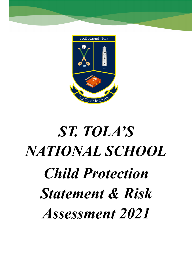

# *ST. TOLA'S NATIONAL SCHOOL Child Protection Statement & Risk Assessment 2021*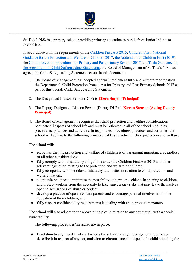

**St. Tola's N.S.** is a primary school providing primary education to pupils from Junior Infants to Sixth Class.

In accordance with the requirements of the Children [First Act 2015,](http://www.irishstatutebook.ie/eli/2015/act/36/enacted/en/pdf) [Children First: National](https://assets.gov.ie/25844/b90aafa55804462f84d05f87f0ca2bf6.pdf) [Guidance for the Protection and Welfare of Children 2017,](https://assets.gov.ie/25844/b90aafa55804462f84d05f87f0ca2bf6.pdf) [the Addendum to Children First \(2019\)](https://assets.gov.ie/25819/c9744b64dfd6447985eeffa5c0d71bbb.pdf), the [Child Protection Procedures for Primary and Post](https://www.gov.ie/pdf/?file=https://assets.gov.ie/45063/2d4b5b3d781e4ec1ab4f3e5d198717d9.pdf#page=1) Primary Schools 2017 and [Tusla Guidance on](https://www.tusla.ie/uploads/content/4214-TUSLA_Guidance_on_Developing_a_CSS_LR.PDF) [the preparation of Child Safeguarding Statements,](https://www.tusla.ie/uploads/content/4214-TUSLA_Guidance_on_Developing_a_CSS_LR.PDF) the Board of Management of St. Tola's N.S. has agreed the Child Safeguarding Statement set out in this document.

- 1. The Board of Management has adopted and will implement fully and without modification the Department's Child Protection Procedures for Primary and Post Primary Schools 2017 as part of this overall Child Safeguarding Statement.
- 2. The Designated Liaison Person (DLP) is **Eileen Smyth (Principal)**
- 3. The Deputy Designated Liaison Person (Deputy DLP) is **Kieran Stenson (Acting Deputy Principal)**
- 4. The Board of Management recognises that child protection and welfare considerations permeate all aspects of school life and must be reflected in all of the school's policies, procedures, practices and activities. In its policies, procedures, practices and activities, the school will adhere to the following principles of best practice in child protection and welfare:

The school will:

- recognise that the protection and welfare of children is of paramount importance, regardless of all other considerations;
- fully comply with its statutory obligations under the Children First Act 2015 and other relevant legislation relating to the protection and welfare of children;
- fully co-operate with the relevant statutory authorities in relation to child protection and welfare matters;
- adopt safe practices to minimise the possibility of harm or accidents happening to children and protect workers from the necessity to take unnecessary risks that may leave themselves open to accusations of abuse or neglect;
- develop a practice of openness with parents and encourage parental involvement in the education of their children; and
- fully respect confidentiality requirements in dealing with child protection matters.

 $\mathcal{L}_\mathcal{L} = \{ \mathcal{L}_\mathcal{L} = \{ \mathcal{L}_\mathcal{L} = \{ \mathcal{L}_\mathcal{L} = \{ \mathcal{L}_\mathcal{L} = \{ \mathcal{L}_\mathcal{L} = \{ \mathcal{L}_\mathcal{L} = \{ \mathcal{L}_\mathcal{L} = \{ \mathcal{L}_\mathcal{L} = \{ \mathcal{L}_\mathcal{L} = \{ \mathcal{L}_\mathcal{L} = \{ \mathcal{L}_\mathcal{L} = \{ \mathcal{L}_\mathcal{L} = \{ \mathcal{L}_\mathcal{L} = \{ \mathcal{L}_\mathcal{$ 

The school will also adhere to the above principles in relation to any adult pupil with a special vulnerability.

The following procedures/measures are in place:

• In relation to any member of staff who is the subject of any investigation (howsoever described) in respect of any act, omission or circumstance in respect of a child attending the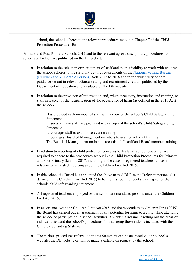

school, the school adheres to the relevant procedures set out in Chapter 7 of the Child Protection Procedures for

Primary and Post-Primary Schools 2017 and to the relevant agreed disciplinary procedures for school staff which are published on the DE website.

- In relation to the selection or recruitment of staff and their suitability to work with children, the school adheres to the statutory vetting requirements of the [National Vetting Bureau](https://revisedacts.lawreform.ie/eli/2012/act/47/revised/en/pdf) [\(Children and Vulnerable Persons\)](https://revisedacts.lawreform.ie/eli/2012/act/47/revised/en/pdf) Acts 2012 to 2016 and to the wider duty of care guidance set out in relevant Garda vetting and recruitment circulars published by the Department of Education and available on the DE website.
- In relation to the provision of information and, where necessary, instruction and training, to staff in respect of the identification of the occurrence of harm (as defined in the 2015 Act) the school-

Has provided each member of staff with a copy of the school's Child Safeguarding Statement Ensures all new staff are provided with a copy of the school's Child Safeguarding Statement Encourages staff to avail of relevant training Encourages Board of Management members to avail of relevant training The Board of Management maintains records of all staff and Board member training

- In relation to reporting of child protection concerns to Tusla, all school personnel are required to adhere to the procedures set out in the Child Protection Procedures for Primary and Post-Primary Schools 2017, including in the case of registered teachers, those in relation to mandated reporting under the Children First Act 2015.
- In this school the Board has appointed the above named DLP as the "relevant person" (as defined in the Children First Act 2015) to be the first point of contact in respect of the schools child safeguarding statement.
- All registered teachers employed by the school are mandated persons under the Children First Act 2015.
- In accordance with the Children First Act 2015 and the Addendum to Children First (2019), the Board has carried out an assessment of any potential for harm to a child while attending the school or participating in school activities. A written assessment setting out the areas of risk identified and the school's procedures for managing those risks is included with the Child Safeguarding Statement.
- The various procedures referred to in this Statement can be accessed via the school's website, the DE website or will be made available on request by the school.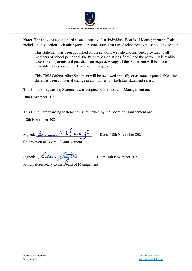

**Note:** The above is not intended as an exhaustive list. Individual Boards of Management shall also include in this section such other procedures/measures that are of relevance to the school in question.

This statement has been published on the school's website and has been provided to all members of school personnel, the Parents'Association (if any) and the patron. It is readily accessible to parents and guardians on request. A copy of this Statement will be made available to Tusla and the Department if requested.

This Child Safeguarding Statement will be reviewed annually or as soon as practicable after there has been a material change in any matter to which this statement refers.

This Child Safeguarding Statement was adopted by the Board of Management on:

18th November 2021

This Child Safeguarding Statement was reviewed by the Board of Management on:

 $\mathcal{L}_\mathcal{L} = \{ \mathcal{L}_\mathcal{L} = \{ \mathcal{L}_\mathcal{L} = \{ \mathcal{L}_\mathcal{L} = \{ \mathcal{L}_\mathcal{L} = \{ \mathcal{L}_\mathcal{L} = \{ \mathcal{L}_\mathcal{L} = \{ \mathcal{L}_\mathcal{L} = \{ \mathcal{L}_\mathcal{L} = \{ \mathcal{L}_\mathcal{L} = \{ \mathcal{L}_\mathcal{L} = \{ \mathcal{L}_\mathcal{L} = \{ \mathcal{L}_\mathcal{L} = \{ \mathcal{L}_\mathcal{L} = \{ \mathcal{L}_\mathcal{$ 

18th November 2021

Signed: <u>Seamus</u> O h Earaigh Date: 18th November 2021

Chairperson of Board of Management

Signed: Eleen Amyth Date: 18th November 2021

Principal/Secretary to the Board of Management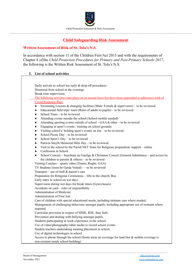

# **Child Safeguarding Risk Assessment**

# **Written Assessment of Risk of St. Tola's N.S.**

In accordance with section 11 of the Children First Act 2015 and with the requirements of Chapter 8 of the *Child Protection Procedures for Primary and Post-Primary Schools 2017*, the following is the Written Risk Assessment of St. Tola's N.S.

## **1. List of school activities**

| Daily arrivals to school too early $&$ drop off procedures<br>Dismissal from school in the evenings        |
|------------------------------------------------------------------------------------------------------------|
| Break time supervision                                                                                     |
| The following activities take place on an annual basis but have been suspended in adherence with of        |
| <b>Covid Response Plan:</b>                                                                                |
| Swimming Lessons & changing facilities (Male/Female & supervisors) – to be reviewed<br>$\bullet$           |
| Educational field trips/ tours (Ratio of adults to pupils) – to be reviewed<br>$\bullet$                   |
| School Tours – to be reviewed<br>$\bullet$                                                                 |
| Attending events outside the school (School mobile needed)<br>$\bullet$                                    |
| Attending sporting events outside of school $-$ GAA $\&$ other $-$ to be reviewed<br>$\bullet$             |
| Engaging in sport's events / training on school grounds<br>$\bullet$                                       |
| Visiting school's/holding sport's events on site $-$ to be reviewed<br>$\bullet$                           |
| School Picnic Day - to be reviewed<br>$\bullet$                                                            |
| School Sport's Day – to be reviewed<br>$\bullet$                                                           |
| Patricia Smyth Memorial Blitz Day - to be reviewed<br>$\bullet$                                            |
| Visit to the school by the Parish NET Team for Religious preparation/support – online<br>$\bullet$         |
| Confession in School<br>$\bullet$                                                                          |
| School Concert – Seachtain na Gaeilge & Christmas Concert (General Admittance – and access by<br>$\bullet$ |
| the children to parents $\&$ others) – to be reviewed                                                      |
| Visiting Coaches - sports/ other (Tennis, Rugby, GAA)                                                      |
| TY Students (must be Garda Vetted) - - to be reviewed                                                      |
| Transport – use of staff $&$ parent's cars                                                                 |
| Preparation for Religious Ceremonies - lifts to the church/ Bus                                            |
| Early entry to school on wet days                                                                          |
| Supervision during wet days for break times (Gym/classes)                                                  |
| Accidents on yard – roles of responsibility                                                                |
| Administration of Medicine                                                                                 |
| Administration of First Aid.                                                                               |
| Care of children with special educational needs, including intimate care where needed.                     |
| Management of challenging behaviour amongst pupils, including appropriate use of restraint where           |
| required.                                                                                                  |
| Curricular provision in respect of SPHE, RSE, Stay Safe.                                                   |
| Prevention and dealing with bullying amongst pupils.                                                       |
| Students participating in work experience in the school.                                                   |
| Use of video/photography/other media to record school events.                                              |
| Student teachers undertaking training placement in school.                                                 |
| Use of digital technologies in school                                                                      |
| Access to phone through the school (Some areas no coverage for land line $\&$ mobile coverage is           |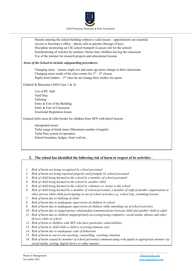



## **2. The school has identified the following risk of harm in respect of its activities -**

- *1. Risk of harm not being recognised by school personnel*
- *2. Risk of harm not being reported properly and promptly by school personnel*
- *3. Risk of child being harmed in the school by a member of school personnel*
- *4. Risk of child being harmed in the school by another child*
- *5. Risk of child being harmed in the school by volunteer or visitor to the school*
- 6. Risk of child being harmed by a member of school personnel, a member of staff of another organisation or *other person while child participating in out of school activities e.g. school trip, swimming lessons*
- *7. Risk of harm due to bullying of child*
- *8. Risk of harm due to inadequate supervision of children in school*
- *9. Risk of harm due to inadequate supervision of children while attending out of school activities*
- *10. Risk of harm due to inappropriate relationship/communications between child and another child or adult*
- *11. Risk of harm due to children inappropriately accessing/using computers, social media, phones and other devices while at school*
- *12. Risk of harm to children with SEN who have particular vulnerabilities*
- *13. Risk of harm to child while a child is receiving intimate care*
- *14. Risk of harm due to inadequate code of behaviour*
- *15. Risk of harm in one-to-one teaching, counselling, coaching situation*
- *16. Risk of harm caused by member of school personnel communicating with pupils in appropriate manner via social media, texting, digital device or other manner*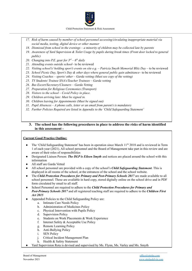

- *17. Risk of harm caused by member of school personnel accessing/circulating inappropriate material via social media, texting, digital device or other manner*
- 18. Dismissal from school in the evenings a minority of children may be collected late by parents
- 19. Awareness of Yard Supervision & Toilet Usage by pupils during break times (Front door locked to general *public)*
- 20. *Changing into P.E. gear for*  $3^{rd} 6^{th}$  *daily*
- *21. Attending events outside school* to be reviewed
- *22. Visiting school's/ holding sport's events on site e.g. – Patricia Smyth Memorial Blitz Day* to be reviewed
- *23. School Picnic Day, Sport's Day & other days where general public gain admittance* to be reviewed
- *24. Visiting Coaches – sports/ other – Garda vetting (Must see copy of the vetting)*
- *25. TY Students/ Trainee SNA's/Teacher Trainees – Garda vetting*
- *26. Bus Escort/Secretary/Cleaners – Garda Vetting*
- *27. Preparation for Religious Ceremonies (Transport)*
- *28. Visitors to the school – Covid Policy in place.*
- *29. Children arriving late: Must be signed in.*
- *30. Children leaving for Appointments (Must be signed out)*
- *31. Pupil Absences – A phone calls, letter or an email from parent's is mandatory*
- *32. Further Policies Required are listed in Appendix to the 'Child Safeguarding Statement'*

#### **3. The school has the following procedures in place to address the risks of harm identified in this assessment -**

## **Current Good Practice Outline:**

- The 'Child Safeguarding Statement' has been in operation since March 11<sup>th</sup> 2018 and is reviewed in Term 1 of each year (2021). All school personnel and the Board of Management take part in this review and are aware of their roles of responsibilities
- Designated Liaison Person: *The DLP is Eileen Smyth* and notices are placed around the school with this information
- All staff are Garda Vetted
- All school personnel are provided with a copy of the school's *Child Safeguarding Statement*. This is displayed in all rooms of the school, at the entrances of the school and the school website.
- The *Child Protection Procedures for Primary and Post-Primary Schools 2017* are made available to all school personnel. These are available in hard copy, stored digitally online on the school drive and in PDF form circulated by email to all staff.
- *●* School Personnel are required to adhere to the *Child Protection Procedures for Primary and Post-Primary Schools 2017* and all registered teaching staff are required to adhere to the *Children First Act 2015*
- Appended Policies to the Child Safeguarding Policy are:
	- a. Intimate Care Needs Policy
	- b. Administration of Medicines Policy
	- c. Physical Intervention with Pupils Policy
	- d. Supervision Policy
	- e. Students on Work Placements & Work Experience
	- f. Internet Safety & Acceptable Use Policy
	- g. Remote Learning Policy
	- h. Anti-Bullying Policy
	- i. SEN Policy
	- j. Critical Incident Management Plan
	- k. Health & Safety Statement
- Yard Supervision Rota is devised and supervised by Ms. Flynn, Ms. Varley and Ms. Smyth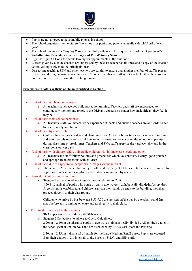

- Pupils are not allowed to have mobile phones in school.
- The school organises Internet Safety Workshops for pupils and parents annually (March/ April of each year)
- The school has an *Anti-Bullying Policy*, which fully adheres to the requirements of the Department's **Anti-Bullying Procedures for Primary and Post-Primary Schools.**
- Sign In/ Sign Out Book for pupils leaving for appointments at the exit door.
- Classes given by outside coaches are supervised by the class teacher at all times and a copy of the coach's Garda Vetting is given to the Principal/ DLP
- One-to-one teaching: SEN and other teachers are careful to ensure that another member of staff is present in the room during one-to-one teaching and if another member of staff is not available, then the classroom door will remain open during the teaching lesson.

#### **Procedures to Address Risks of Harm Identified in Section 1**

- Risk of harm not being recognised
	- a. All teachers have received child protection training. Teachers and staff are encouraged to continuously monitor and report to the DLP any concern no matter how insignificant they feel it may be.
- Risk of harm from school personnel
	- a. All teachers, staff, volunteers, work experience students and outside coaches are all Garda Vetted to ensure safety for children
- Risk of harm by another child
	- a. Children have separate toilets and changing areas. Areas for break times are designated for junior and senior pupils separately. Children are not allowed to move around the school unsupervised during class time or break times. Teachers and SNA staff supervise the yard each day and in the classrooms on wet days.
- Risk of harm with children SEN, vulnerable children with intimate care needs and others
	- a. All teachers and staff follow policies and procedures which lays out very clearly 'good practice' and appropriate interactions with children
- Risk of harm due to exposure to inappropriate images via the internet
	- a. The school's Acceptable Use Policy is followed correctly at all times. Internet access is limited to appropriate sites (Blocks in place) and is always monitored by teachers
- Arrival of Children in the morning:
	- a. Staggered arrivals to adhere to guidelines in relation to Covid.
		- 8.50-9.15 arrival of pupils who come by car in two waves (Alphabetically divided). A stop, drop & go system is established and children sanitize their hands on entry to the building, they then proceed directly to their classrooms.

Children who arrive by bus between 8.50-9.00 are assisted off the bus by a teacher, stand 2m apart before entry, sanitize on entry and go directly to their class.

- Dismissal from school in the evenings
	- b. SNA supervision of children with SEN needs
	- c. Staggered Collections to adhere to Covid Guidelines:
		- 2.20pm 2.40pm dismissal of pupils in two waves (alphabetically divided). All children gather in the school gym at 2m intervals and are dispatched by SNA's, SEN staff and Principal.

2.30pm – 2.35pm – dismissal of pupils for the Large/Medium/Small buses. Pupils are escorted from their classes in 2m intervals to the buses by SNA's and SEN staff.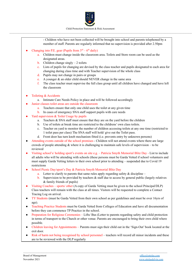

- Children who have not been collected will be brought into school and parents telephoned by a member of staff. Parents are regularly informed that no supervision is provided after 2.50pm

- Changing into P.E. gear (Pupils from  $3<sup>rd</sup> 6<sup>th</sup>$  daily)
	- a. Children must change inside the classroom area. Toilets and Store room can be used as the designated areas.
	- b. Children change singly  $-2$  toilets
	- c. Lists of pupils for changing are devised by the class teacher and pupils designated to each area for changing during class time and with Teacher supervision of the whole class
	- d. Pupils may not change in pairs or groups
	- e. A younger & an older child should NEVER change in the same area
	- f. The class teacher must supervise the full class group until all children have changed and have left the classroom
- Toileting & Accidents
	- a. Intimate Care Needs Policy in place and will be followed accordingly
- Junior classes toilet areas are outside the classroom
	- a. Teachers ensure that only one child uses the toilet at any given time
	- b. In cases of emergency SNA staff support pupils with care needs
- Yard supervision  $&$  Toilet Usage by pupils
	- a. Teachers & SNA staff must ensure that they are on the yard before the children
	- b. Use of toilets at break time are restricted to the childrens' own class toilets.
	- c. Teacher on yard to monitor the number of children accessing toilets at any one time (restricted to 1 toilet pass per class) The SNA staff will hold/ give out the Toilet pass.
	- d. Front door has turn knob mechanism fitted (i.e. prevents entry by unknown persons)
- Attending events outside of the school premises Children will not attend events where there are large crowds of people attending  $\&$  where it is challenging to maintain safe levels of supervision – to be reviewed
- Visiting school's/ holding sport's events on site e.g. Patricia Smyth Memorial Blitz Day List to include all adults who will be attending with schools (these persons must be Garda Vetted if school volunteers and must supply Garda Vetting letters to their own school prior to attending – suspended due to Covid 19 restrictions
- School Picnic Day/sport's Day & Patricia Smyth Memorial Blitz Day
	- a. Letter to clarify to parents that same rules apply regarding safety & discipline –
	- b. Supervision to be provided by teachers  $\&$  staff due to access by general public (largely relatives & family friends of pupils)
- Visiting Coaches sports/ other (A copy of Garda Vetting must be given to the school Principal/DLP) Class teachers will remain with the class at all times. Visitors will be requested to complete a Contact Tracing Log on arrival.
- TY Students (must be Garda Vetted from their own school as per guidelines and must be over 16yrs of age).
- Teaching Practice Students must be Garda Vetted from Colleges of Education and have all documentation before they can commence TP Practice in the school.
- Preparation for Religious Ceremonies Lifts/ Bus (Letter to parents regarding safety and child protection in terms of transport to the Church or other venue. Parents are encouraged to bring their own child where possible.
- Children leaving for Appointments Parents must sign their child out in the 'Sign-Out' book located at the exit door.
- Risk of harm not being recognised by school personnel teachers will record all minor incidents and these are to be reviewed with the DLP regularly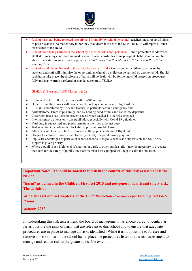

- Risk of harm not being reported properly and promptly by school personnel- teachers must report all signs of possible abuse (no matter how minor they may deem it to be) to the DLP. The DLP will report all such disclosures to the BOM
- Risk of child being harmed in the school by a member of school personnel child protection is addressed at all staff meetings and staff are made aware of what constitutes as inappropriate behaviour and or child abuse. Each staff member has a copy of the *'Child Protection Procedures for Primary and Post-Primary schools, 2017'.*
- Risk of a child being harmed in the school by another child Consistent and vigilant supervision by teachers and staff will minimise the opportunities whereby a child can be harmed by another child. Should such harm take place, the disclosure of harm will be dealt with by following child protection procedures fully and may warrant a referral or mandated report to TUSLA.

Gladioli & Blossoms (ASD Classes 1 & 2):

- SNAs will not be left on their own within ASD setting
- Doors within the classes will have a double lock system to prevent flight risk or
- PE Hall is monitored by SNA and teacher, in particular around emergency exit
- Arrival/Home Time: Pupils are guided by holding hand for bus and car safety departure
- Classroom press has locks to prevent access when teacher is otherwise engaged
- Internal sensory allows only one pupil/adult, especially with Covid 19 guidelines
- Yard duty is supervised and pupils remain in their pod amongst peers
- Toilets within Gladioli are not lockable to prevent possible harm
- All events and tours will be  $1/1$  ratio where the pupils needs are of flight risk
- Usage of a coloured visor is used to easily identify the pupil during playtime
- Pupils are encouraged to partake in school concerts, Religious events and supervision and SET/SNA support is given priority
- Where a pupil is at a high level of emotion or a risk to other pupils/staff, it may be necessary to evacuate the room for the safety of pupils, one staff member best equipped will help to calm the situation.

**Important Note: It should be noted that risk in the context of this risk assessment is the risk of**

**"harm" as defined in the Children First Act 2015 and not general health and safety risk. The definition**

**of harm is set out in Chapter 4 of the** *Child Protection Procedures for Primary and Post-Primary*

*Schools 2017*

In undertaking this risk assessment, the board of management has endeavoured to identify as far as possible the risks of harm that are relevant to this school and to ensure that adequate procedures are in place to manage all risks identified. While it is not possible to foresee and remove all risk of harm, the school has in place the procedures listed in this risk assessment to manage and reduce risk to the greatest possible extent.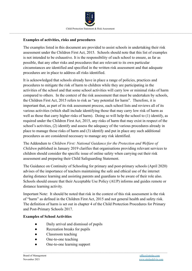

# **Examples of activities, risks and procedures**

The examples listed in this document are provided to assist schools in undertaking their risk assessment under the Children First Act, 2015. Schools should note that this list of examples is not intended to be exhaustive. It is the responsibility of each school to ensure, as far as possible, that any other risks and procedures that are relevant to its own particular circumstances are identified and specified in the written risk assessment and that adequate procedures are in place to address all risks identified.

It is acknowledged that schools already have in place a range of policies, practices and procedures to mitigate the risk of harm to children while they are participating in the activities of the school and that some school activities will carry low or minimal risks of harm compared to others. In the context of the risk assessment that must be undertaken by schools, the Children First Act, 2015 refers to risk as "any potential for harm". Therefore, it is important that, as part of its risk assessment process, each school lists and reviews all of its various activities (which shall include identifying those that may carry low risk of harm as well as those that carry higher risks of harm). Doing so will help the school to (1) identify, as required under the Children First Act, 2015, any risks of harm that may exist in respect of the school's activities, (2) identify and assess the adequacy of the various procedures already in place to manage those risks of harm and (3) identify and put in place any such additional procedures as are considered necessary to manage any risk identified.

The Addendum to *Children First: National Guidance for the Protection and Welfare of Children* published in January 2019 clarifies that organisations providing relevant services to children should consider the specific issue of online safety when carrying out their risk assessment and preparing their Child Safeguarding Statement.

The Guidance on Continuity of Schooling for primary and post-primary schools (April 2020) advises of the importance of teachers maintaining the safe and ethical use of the internet during distance learning and assisting parents and guardians to be aware of their role also. Schools should ensure that their Acceptable Use Policy (AUP) informs and guides remote or distance learning activity.

Important Note: It should be noted that risk in the context of this risk assessment is the risk of "harm" as defined in the Children First Act, 2015 and not general health and safety risk. The definition of harm is set out in chapter 4 of the Child Protection Procedures for Primary and Post-Primary Schools 2017.

 $\mathcal{L}_\mathcal{L} = \{ \mathcal{L}_\mathcal{L} = \{ \mathcal{L}_\mathcal{L} = \{ \mathcal{L}_\mathcal{L} = \{ \mathcal{L}_\mathcal{L} = \{ \mathcal{L}_\mathcal{L} = \{ \mathcal{L}_\mathcal{L} = \{ \mathcal{L}_\mathcal{L} = \{ \mathcal{L}_\mathcal{L} = \{ \mathcal{L}_\mathcal{L} = \{ \mathcal{L}_\mathcal{L} = \{ \mathcal{L}_\mathcal{L} = \{ \mathcal{L}_\mathcal{L} = \{ \mathcal{L}_\mathcal{L} = \{ \mathcal{L}_\mathcal{$ 

## **Examples of School Activities**

- Daily arrival and dismissal of pupils
- Recreation breaks for pupils
- Classroom teaching
- One-to-one teaching
- One-to-one learning support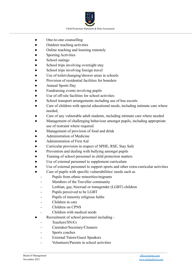

- One-to-one counselling
- Outdoor teaching activities
- Online teaching and learning remotely
- **Sporting Activities**
- School outings
- School trips involving overnight stay
- School trips involving foreign travel
- Use of toilet/changing/shower areas in schools
- Provision of residential facilities for boarders
- Annual Sports Day
- Fundraising events involving pupils
- Use of off-site facilities for school activities
- School transport arrangements including use of bus escorts
- Care of children with special educational needs, including intimate care where needed,
- Care of any vulnerable adult students, including intimate care where needed
- Management of challenging behaviour amongst pupils, including appropriate use of restraint where required
- Management of provision of food and drink
- Administration of Medicine
- Administration of First Aid
- Curricular provision in respect of SPHE, RSE, Stay Safe
- Prevention and dealing with bullying amongst pupils
- Training of school personnel in child protection matters
- Use of external personnel to supplement curriculum
- Use of external personnel to support sports and other extra-curricular activities
- Care of pupils with specific vulnerabilities/ needs such as
	- Pupils from ethnic minorities/migrants
	- Members of the Traveller community
	- Lesbian, gay, bisexual or transgender (LGBT) children

- Pupils perceived to be LGBT
- Pupils of minority religious faiths
- Children in care
- Children on CPNS
- Children with medical needs
- Recruitment of school personnel including -
	- Teachers/SNA's
	- Caretaker/Secretary/Cleaners
	- Sports coaches
	- External Tutors/Guest Speakers
	- Volunteers/Parents in school activities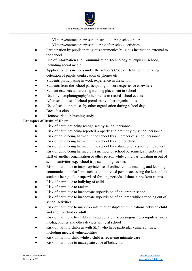

- Visitors/contractors present in school during school hours
- Visitors/contractors present during after school activities
- Participation by pupils in religious ceremonies/religious instruction external to the school
- Use of Information and Communication Technology by pupils in school, including social media
- Application of sanctions under the school's Code of Behaviour including detention of pupils, confiscation of phones etc.
- Students participating in work experience in the school
- Students from the school participating in work experience elsewhere
- Student teachers undertaking training placement in school
- Use of video/photography/other media to record school events
- After school use of school premises by other organisations
- Use of school premises by other organisation during school day
- Breakfast club
- Homework club/evening study

# **Examples of Risks of Harm**

- Risk of harm not being recognised by school personnel
- Risk of harm not being reported properly and promptly by school personnel
- Risk of child being harmed in the school by a member of school personnel
- Risk of child being harmed in the school by another child
- Risk of child being harmed in the school by volunteer or visitor to the school
- Risk of child being harmed by a member of school personnel, a member of staff of another organisation or other person while child participating in out of school activities e.g. school trip, swimming lessons
- Risk of harm due to inappropriate use of online remote teaching and learning communication platform such as an uninvited person accessing the lesson link, students being left unsupervised for long periods of time in breakout rooms
- Risk of harm due to bullying of child
- Risk of harm due to racism
- Risk of harm due to inadequate supervision of children in school
- Risk of harm due to inadequate supervision of children while attending out of school activities
- Risk of harm due to inappropriate relationship/communications between child and another child or adult
- Risk of harm due to children inappropriately accessing/using computers, social media, phones and other devices while at school
- Risk of harm to children with SEN who have particular vulnerabilities, including medical vulnerabilities

- Risk of harm to child while a child is receiving intimate care
- Risk of harm due to inadequate code of behaviour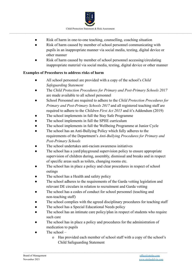

- Risk of harm in one-to-one teaching, counselling, coaching situation
- Risk of harm caused by member of school personnel communicating with pupils in an inappropriate manner via social media, texting, digital device or other manner
- Risk of harm caused by member of school personnel accessing/circulating inappropriate material via social media, texting, digital device or other manner

# **Examples of Procedures to address risks of harm**

- *●* All school personnel are provided with a copy of the school's *Child Safeguarding Statement*
- The *Child Protection Procedures for Primary and Post-Primary Schools 2017* are made available to all school personnel
- School Personnel are required to adhere to the *Child Protection Procedures for Primary and Post-Primary Schools 2017* and all registered teaching staff are required to adhere to the *Children First Act 2015* and it's Addendum (2019)
- The school implements in full the Stay Safe Programme
- The school implements in full the SPHE curriculum
- The school implements in full the Wellbeing Programme at Junior Cycle
- The school has an Anti-Bullying Policy which fully adheres to the requirements of the Department's *Anti-Bullying Procedures for Primary and Post-Primary Schools*
- The school undertakes anti-racism awareness initiatives
- The school has a yard/playground supervision policy to ensure appropriate supervision of children during, assembly, dismissal and breaks and in respect of specific areas such as toilets, changing rooms etc.
- The school has in place a policy and clear procedures in respect of school outings
- The school has a Health and safety policy
- The school adheres to the requirements of the Garda vetting legislation and relevant DE circulars in relation to recruitment and Garda vetting
- The school has a codes of conduct for school personnel (teaching and non-teaching staff)
- The school complies with the agreed disciplinary procedures for teaching staff
- The school has a Special Educational Needs policy
- The school has an intimate care policy/plan in respect of students who require such care
- The school has in place a policy and procedures for the administration of medication to pupils

- The school  $$ 
	- o Has provided each member of school staff with a copy of the school's Child Safeguarding Statement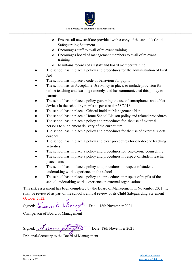

- o Ensures all new staff are provided with a copy of the school's Child Safeguarding Statement
- o Encourages staff to avail of relevant training
- o Encourages board of management members to avail of relevant training
- o Maintains records of all staff and board member training
- The school has in place a policy and procedures for the administration of First Aid
- The school has in place a code of behaviour for pupils
- The school has an Acceptable Use Policy in place, to include provision for online teaching and learning remotely, and has communicated this policy to parents
- The school has in place a policy governing the use of smartphones and tablet devices in the school by pupils as per circular 38/2018
- The school has in place a Critical Incident Management Plan
- The school has in place a Home School Liaison policy and related procedures
- The school has in place a policy and procedures for the use of external persons to supplement delivery of the curriculum
- The school has in place a policy and procedures for the use of external sports coaches
- The school has in place a policy and clear procedures for one-to-one teaching activities
- The school has in place a policy and procedures for one-to-one counselling
- The school has in place a policy and procedures in respect of student teacher placements
- The school has in place a policy and procedures in respect of students undertaking work experience in the school
- The school has in place a policy and procedures in respect of pupils of the school undertaking work experience in external organisations

This risk assessment has been completed by the Board of Management in November 2021. It shall be reviewed as part of the school's annual review of its Child Safeguarding Statement October 2022.

 $\mathcal{L}_\mathcal{L} = \{ \mathcal{L}_\mathcal{L} = \{ \mathcal{L}_\mathcal{L} = \{ \mathcal{L}_\mathcal{L} = \{ \mathcal{L}_\mathcal{L} = \{ \mathcal{L}_\mathcal{L} = \{ \mathcal{L}_\mathcal{L} = \{ \mathcal{L}_\mathcal{L} = \{ \mathcal{L}_\mathcal{L} = \{ \mathcal{L}_\mathcal{L} = \{ \mathcal{L}_\mathcal{L} = \{ \mathcal{L}_\mathcal{L} = \{ \mathcal{L}_\mathcal{L} = \{ \mathcal{L}_\mathcal{L} = \{ \mathcal{L}_\mathcal{$ 

Signed: Seannes O h Earaigh Date: 18th November 2021

Chairperson of Board of Management

|                | Signed Extrem Amyth |                                                    | Date: 18th November 2021 |
|----------------|---------------------|----------------------------------------------------|--------------------------|
| $\mathbf{r}$ . |                     | $\overline{U}$ or $\overline{U}$ or $\overline{U}$ |                          |

Principal/Secretary to the Board of Management